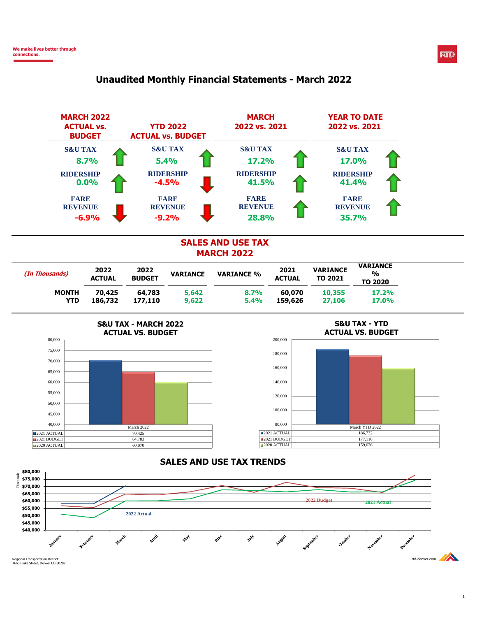

## **Unaudited Monthly Financial Statements - March 2022**





**RTD** 

1660 Blake Street, Denver CO 80202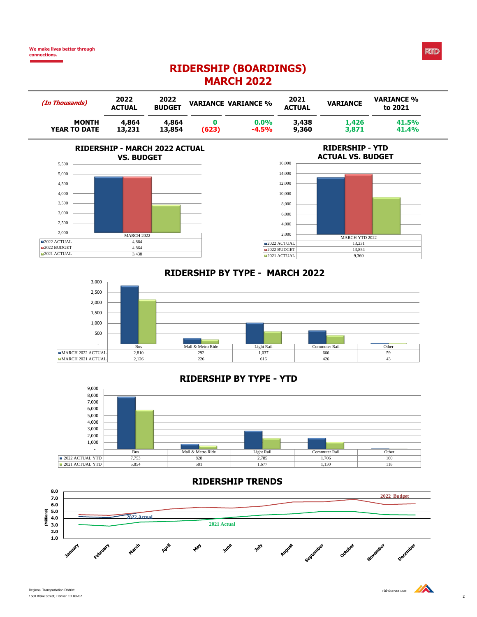# **RIDERSHIP (BOARDINGS) MARCH 2022**

| (In Thousands)      | 2022<br><b>ACTUAL</b> | 2022<br><b>BUDGET</b> |       | <b>VARIANCE VARIANCE %</b> | 2021<br><b>ACTUAL</b> | <b>VARIANCE</b> | <b>VARIANCE %</b><br>to 2021 |
|---------------------|-----------------------|-----------------------|-------|----------------------------|-----------------------|-----------------|------------------------------|
| <b>MONTH</b>        | 4,864                 | 4,864                 | (623) | 0.0%                       | 3,438                 | 1,426           | 41.5%                        |
| <b>YEAR TO DATE</b> | 13,231                | 13,854                |       | $-4.5%$                    | 9,360                 | 3,871           | 41.4%                        |





# **RIDERSHIP - YTD**

# **RIDERSHIP BY TYPE - MARCH 2022**



#### **RIDERSHIP BY TYPE - YTD**



#### **RIDERSHIP TRENDS**



**RTD**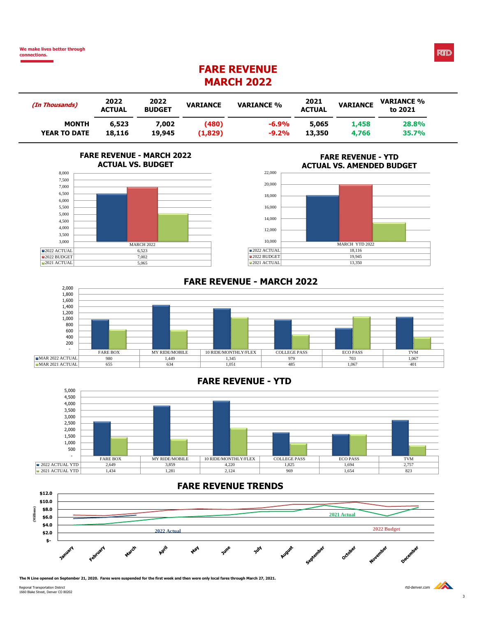**We make lives better through connections.**

# **FARE REVENUE MARCH 2022**

| (In Thousands)      | 2022<br><b>ACTUAL</b> | 2022<br><b>BUDGET</b> | <b>VARIANCE</b> | <b>VARIANCE %</b> | 2021<br><b>ACTUAL</b> | <b>VARIANCE</b> | <b>VARIANCE %</b><br>to 2021 |
|---------------------|-----------------------|-----------------------|-----------------|-------------------|-----------------------|-----------------|------------------------------|
| <b>MONTH</b>        | 6,523                 | 7.002                 | (480)           | $-6.9\%$          | 5,065                 | 1,458           | 28.8%                        |
| <b>YEAR TO DATE</b> | 18,116                | 19,945                | (1,829)         | $-9.2%$           | 13,350                | 4,766           | 35.7%                        |

#### **FARE REVENUE - MARCH 2022 ACTUAL VS. BUDGET**



#### **FARE REVENUE - YTD ACTUAL VS. AMENDED BUDGET**



#### **FARE REVENUE - MARCH 2022**



## **FARE REVENUE - YTD**



## **FARE REVENUE TRENDS**



**The N Line opened on September 21, 2020. Fares were suspended for the first week and then were only local fares through March 27, 2021.**

Regional Transportation District regions of the compared of the street regional Transportation District regional Transportation District regional Transportation District regional or the compared of the compared of the comp

3

**RTD**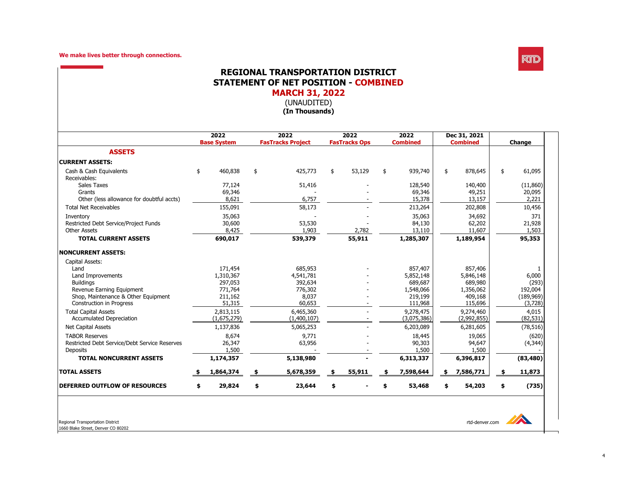

### **REGIONAL TRANSPORTATION DISTRICT STATEMENT OF NET POSITION - COMBINED MARCH 31, 2022**

(UNAUDITED)

**(In Thousands)**

|                                               |    | 2022<br><b>Base System</b> |     | 2022<br>2022<br>2022<br><b>Combined</b><br><b>FasTracks Project</b><br><b>FasTracks Ops</b> |    | <b>Combined</b> |    | Dec 31, 2021 |    | Change      |             |
|-----------------------------------------------|----|----------------------------|-----|---------------------------------------------------------------------------------------------|----|-----------------|----|--------------|----|-------------|-------------|
| <b>ASSETS</b>                                 |    |                            |     |                                                                                             |    |                 |    |              |    |             |             |
| <b>CURRENT ASSETS:</b>                        |    |                            |     |                                                                                             |    |                 |    |              |    |             |             |
| Cash & Cash Equivalents<br>Receivables:       | \$ | 460,838                    | \$  | 425,773                                                                                     | \$ | 53,129          | \$ | 939,740      | \$ | 878,645     | 61,095      |
| <b>Sales Taxes</b>                            |    | 77,124                     |     | 51,416                                                                                      |    |                 |    | 128,540      |    | 140,400     | (11,860)    |
| Grants                                        |    | 69,346                     |     |                                                                                             |    |                 |    | 69,346       |    | 49,251      | 20,095      |
| Other (less allowance for doubtful accts)     |    | 8,621                      |     | 6,757                                                                                       |    |                 |    | 15,378       |    | 13,157      | 2,221       |
| <b>Total Net Receivables</b>                  |    | 155,091                    |     | 58,173                                                                                      |    |                 |    | 213,264      |    | 202,808     | 10,456      |
| Inventory                                     |    | 35,063                     |     |                                                                                             |    |                 |    | 35,063       |    | 34,692      | 371         |
| Restricted Debt Service/Project Funds         |    | 30,600                     |     | 53,530                                                                                      |    |                 |    | 84,130       |    | 62,202      | 21,928      |
| Other Assets                                  |    | 8,425                      |     | 1,903                                                                                       |    | 2,782           |    | 13,110       |    | 11,607      | 1,503       |
| <b>TOTAL CURRENT ASSETS</b>                   |    | 690,017                    |     | 539,379                                                                                     |    | 55,911          |    | 1,285,307    |    | 1,189,954   | 95,353      |
| <b>NONCURRENT ASSETS:</b>                     |    |                            |     |                                                                                             |    |                 |    |              |    |             |             |
| Capital Assets:                               |    |                            |     |                                                                                             |    |                 |    |              |    |             |             |
| Land                                          |    | 171,454                    |     | 685,953                                                                                     |    |                 |    | 857,407      |    | 857,406     | 1           |
| Land Improvements                             |    | 1,310,367                  |     | 4,541,781                                                                                   |    |                 |    | 5,852,148    |    | 5,846,148   | 6,000       |
| <b>Buildings</b>                              |    | 297,053                    |     | 392,634                                                                                     |    |                 |    | 689,687      |    | 689,980     | (293)       |
| Revenue Earning Equipment                     |    | 771,764                    |     | 776,302                                                                                     |    |                 |    | 1,548,066    |    | 1,356,062   | 192,004     |
| Shop, Maintenance & Other Equipment           |    | 211,162                    |     | 8,037                                                                                       |    |                 |    | 219,199      |    | 409,168     | (189, 969)  |
| <b>Construction in Progress</b>               |    | 51,315                     |     | 60,653                                                                                      |    |                 |    | 111,968      |    | 115,696     | (3,728)     |
| <b>Total Capital Assets</b>                   |    | 2,813,115                  |     | 6,465,360                                                                                   |    |                 |    | 9,278,475    |    | 9,274,460   | 4,015       |
| <b>Accumulated Depreciation</b>               |    | (1,675,279)                |     | (1,400,107)                                                                                 |    |                 |    | (3,075,386)  |    | (2,992,855) | (82, 531)   |
| <b>Net Capital Assets</b>                     |    | 1,137,836                  |     | 5,065,253                                                                                   |    |                 |    | 6,203,089    |    | 6,281,605   | (78, 516)   |
| <b>TABOR Reserves</b>                         |    | 8,674                      |     | 9,771                                                                                       |    |                 |    | 18,445       |    | 19,065      | (620)       |
| Restricted Debt Service/Debt Service Reserves |    | 26,347                     |     | 63,956                                                                                      |    |                 |    | 90,303       |    | 94,647      | (4,344)     |
| <b>Deposits</b>                               |    | 1,500                      |     |                                                                                             |    |                 |    | 1,500        |    | 1,500       |             |
| <b>TOTAL NONCURRENT ASSETS</b>                |    | 1,174,357                  |     | 5,138,980                                                                                   |    |                 |    | 6,313,337    |    | 6,396,817   | (83, 480)   |
| <b>TOTAL ASSETS</b>                           |    | 1,864,374                  | \$. | 5,678,359                                                                                   |    | 55,911          |    | 7,598,644    | \$ | 7,586,771   | 11,873      |
| <b>DEFERRED OUTFLOW OF RESOURCES</b>          | S  | 29,824                     | \$  | 23,644                                                                                      | \$ |                 | \$ | 53,468       | \$ | 54,203      | \$<br>(735) |

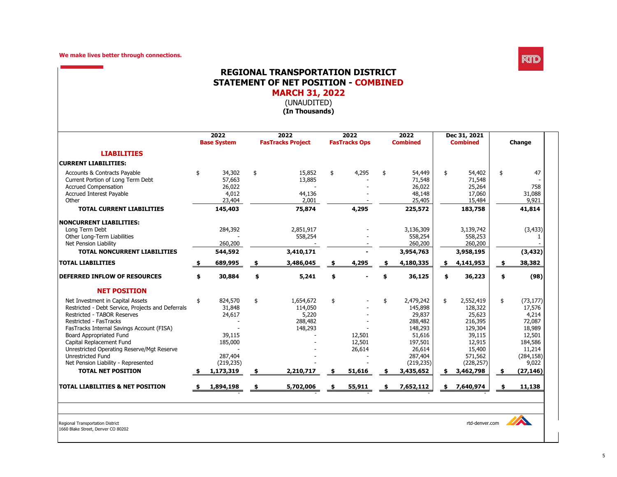

### **REGIONAL TRANSPORTATION DISTRICT STATEMENT OF NET POSITION - COMBINED MARCH 31, 2022**

(UNAUDITED)

**(In Thousands)**

|                                                   | 2022<br><b>Base System</b> | 2022<br><b>FasTracks Project</b> | 2022<br><b>FasTracks Ops</b> | 2022<br><b>Combined</b> |           | Dec 31, 2021<br><b>Combined</b> | Change          |
|---------------------------------------------------|----------------------------|----------------------------------|------------------------------|-------------------------|-----------|---------------------------------|-----------------|
| <b>LIABILITIES</b>                                |                            |                                  |                              |                         |           |                                 |                 |
| <b>CURRENT LIABILITIES:</b>                       |                            |                                  |                              |                         |           |                                 |                 |
| Accounts & Contracts Payable                      | \$<br>34,302               | \$<br>15,852                     | \$<br>4,295                  | 54,449                  | \$        | 54,402                          | \$<br>47        |
| Current Portion of Long Term Debt                 | 57,663                     | 13,885                           |                              | 71,548                  |           | 71,548                          |                 |
| <b>Accrued Compensation</b>                       | 26,022                     |                                  |                              | 26,022                  |           | 25,264                          | 758             |
| <b>Accrued Interest Payable</b>                   | 4,012                      | 44,136                           |                              | 48,148                  |           | 17,060                          | 31,088          |
| Other                                             | 23,404                     | 2,001                            |                              | 25,405                  |           | 15,484                          | 9,921           |
| <b>TOTAL CURRENT LIABILITIES</b>                  | 145,403                    | 75,874                           | 4,295                        | 225,572                 |           | 183,758                         | 41,814          |
| NONCURRENT LIABILITIES:                           |                            |                                  |                              |                         |           |                                 |                 |
| Long Term Debt                                    | 284,392                    | 2,851,917                        |                              | 3,136,309               |           | 3,139,742                       | (3, 433)        |
| Other Long-Term Liabilities                       |                            | 558,254                          |                              | 558,254                 |           | 558,253                         |                 |
| Net Pension Liability                             | 260,200                    |                                  |                              | 260,200                 |           | 260,200                         |                 |
| <b>TOTAL NONCURRENT LIABILITIES</b>               | 544,592                    | 3,410,171                        |                              | 3,954,763               |           | 3,958,195                       | (3, 432)        |
| <b>TOTAL LIABILITIES</b>                          | 689,995                    | 3,486,045                        | 4,295                        | 4,180,335               | <u>\$</u> | 4,141,953                       | \$<br>38,382    |
| <b>DEFERRED INFLOW OF RESOURCES</b>               | \$<br>30,884               | \$<br>5,241                      | \$                           | 36,125                  | \$        | 36,223                          | \$<br>(98)      |
| <b>NET POSITION</b>                               |                            |                                  |                              |                         |           |                                 |                 |
| Net Investment in Capital Assets                  | \$<br>824,570              | \$<br>1,654,672                  | \$                           | \$<br>2,479,242         | \$        | 2,552,419                       | \$<br>(73, 177) |
| Restricted - Debt Service, Projects and Deferrals | 31,848                     | 114,050                          |                              | 145,898                 |           | 128,322                         | 17,576          |
| <b>Restricted - TABOR Reserves</b>                | 24,617                     | 5,220                            |                              | 29,837                  |           | 25,623                          | 4,214           |
| Restricted - FasTracks                            |                            | 288,482                          |                              | 288,482                 |           | 216,395                         | 72,087          |
| FasTracks Internal Savings Account (FISA)         |                            | 148,293                          |                              | 148,293                 |           | 129,304                         | 18,989          |
| Board Appropriated Fund                           | 39,115                     |                                  | 12,501                       | 51,616                  |           | 39,115                          | 12,501          |
| Capital Replacement Fund                          | 185,000                    |                                  | 12,501                       | 197,501                 |           | 12,915                          | 184,586         |
| Unrestricted Operating Reserve/Mgt Reserve        |                            |                                  | 26,614                       | 26,614                  |           | 15,400                          | 11,214          |
| <b>Unrestricted Fund</b>                          | 287,404                    |                                  |                              | 287,404                 |           | 571,562                         | (284, 158)      |
| Net Pension Liability - Represented               | (219, 235)                 |                                  |                              | (219, 235)              |           | (228, 257)                      | 9,022           |
| <b>TOTAL NET POSITION</b>                         | 1,173,319                  | 2,210,717                        | \$<br>51,616                 | 3,435,652               |           | 3,462,798                       | (27, 146)       |
| <b>TOTAL LIABILITIES &amp; NET POSITION</b>       | 1,894,198                  | 5,702,006                        | 55,911                       | 7,652,112               | \$        | 7,640,974                       | \$<br>11,138    |

1660 Blake Street, Denver CO 80202

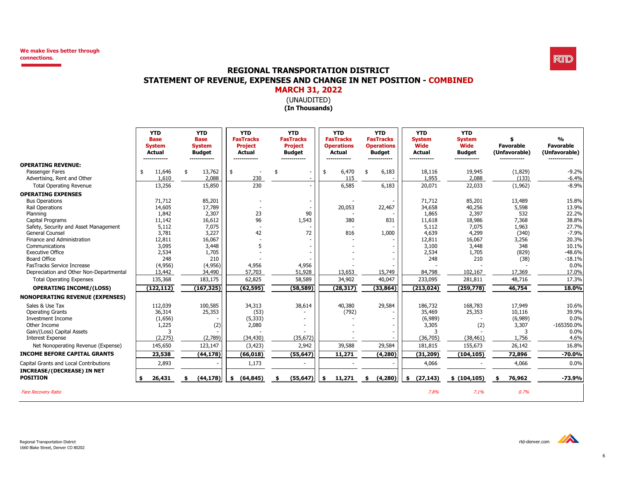

# **REGIONAL TRANSPORTATION DISTRICT STATEMENT OF REVENUE, EXPENSES AND CHANGE IN NET POSITION - COMBINED**

# (UNAUDITED) **MARCH 31, 2022**

**(In Thousands)**

|                                         | <b>YTD</b><br><b>Base</b><br><b>System</b><br><b>Actual</b> | <b>YTD</b><br><b>Base</b><br><b>System</b><br><b>Budget</b><br>------<br>---- | <b>YTD</b><br><b>FasTracks</b><br><b>Project</b><br><b>Actual</b> | <b>YTD</b><br><b>FasTracks</b><br><b>Project</b><br><b>Budget</b><br>-----<br>----- | <b>YTD</b><br><b>FasTracks</b><br><b>Operations</b><br><b>Actual</b><br>------------- | <b>YTD</b><br><b>FasTracks</b><br><b>Operations</b><br><b>Budget</b><br>------------- | <b>YTD</b><br><b>System</b><br><b>Wide</b><br><b>Actual</b><br>------------- | <b>YTD</b><br><b>System</b><br>Wide<br><b>Budget</b><br>------------- | \$<br><b>Favorable</b><br>(Unfavorable) | $\mathbf{O}/\mathbf{O}$<br><b>Favorable</b><br>(Unfavorable) |
|-----------------------------------------|-------------------------------------------------------------|-------------------------------------------------------------------------------|-------------------------------------------------------------------|-------------------------------------------------------------------------------------|---------------------------------------------------------------------------------------|---------------------------------------------------------------------------------------|------------------------------------------------------------------------------|-----------------------------------------------------------------------|-----------------------------------------|--------------------------------------------------------------|
| <b>OPERATING REVENUE:</b>               |                                                             |                                                                               |                                                                   |                                                                                     |                                                                                       |                                                                                       |                                                                              |                                                                       |                                         |                                                              |
| Passenger Fares                         | 11,646<br>\$                                                | 13,762<br>\$                                                                  | \$                                                                | \$<br>$\overline{\phantom{a}}$                                                      | 6,470<br>\$                                                                           | 6,183<br>\$                                                                           | 18,116                                                                       | 19,945                                                                | (1,829)                                 | $-9.2%$                                                      |
| Advertising, Rent and Other             | 1,610                                                       | 2,088                                                                         | 230                                                               |                                                                                     | 115                                                                                   |                                                                                       | 1,955                                                                        | 2,088                                                                 | (133)                                   | $-6.4%$                                                      |
| <b>Total Operating Revenue</b>          | 13,256                                                      | 15,850                                                                        | 230                                                               |                                                                                     | 6,585                                                                                 | 6,183                                                                                 | 20,071                                                                       | 22,033                                                                | (1,962)                                 | $-8.9%$                                                      |
| <b>OPERATING EXPENSES</b>               |                                                             |                                                                               |                                                                   |                                                                                     |                                                                                       |                                                                                       |                                                                              |                                                                       |                                         |                                                              |
| <b>Bus Operations</b>                   | 71,712                                                      | 85,201                                                                        |                                                                   |                                                                                     |                                                                                       |                                                                                       | 71,712                                                                       | 85,201                                                                | 13,489                                  | 15.8%                                                        |
| <b>Rail Operations</b>                  | 14,605                                                      | 17,789                                                                        |                                                                   |                                                                                     | 20,053                                                                                | 22,467                                                                                | 34,658                                                                       | 40,256                                                                | 5,598                                   | 13.9%                                                        |
| Planning                                | 1,842                                                       | 2,307                                                                         | 23                                                                | 90                                                                                  |                                                                                       |                                                                                       | 1,865                                                                        | 2,397                                                                 | 532                                     | 22.2%                                                        |
| Capital Programs                        | 11,142                                                      | 16,612                                                                        | 96                                                                | 1,543                                                                               | 380                                                                                   | 831                                                                                   | 11,618                                                                       | 18,986                                                                | 7,368                                   | 38.8%                                                        |
| Safety, Security and Asset Management   | 5,112                                                       | 7,075                                                                         |                                                                   |                                                                                     |                                                                                       |                                                                                       | 5,112                                                                        | 7,075                                                                 | 1,963                                   | 27.7%                                                        |
| General Counsel                         | 3,781                                                       | 3,227                                                                         | 42                                                                | 72                                                                                  | 816                                                                                   | 1,000                                                                                 | 4,639                                                                        | 4,299                                                                 | (340)                                   | $-7.9%$                                                      |
| Finance and Administration              | 12,811                                                      | 16,067                                                                        |                                                                   |                                                                                     |                                                                                       |                                                                                       | 12,811                                                                       | 16,067                                                                | 3,256                                   | 20.3%                                                        |
| Communications                          | 3,095                                                       | 3,448                                                                         |                                                                   |                                                                                     |                                                                                       |                                                                                       | 3,100                                                                        | 3,448                                                                 | 348                                     | 10.1%                                                        |
| <b>Executive Office</b>                 | 2,534                                                       | 1,705                                                                         |                                                                   |                                                                                     |                                                                                       |                                                                                       | 2,534                                                                        | 1,705                                                                 | (829)                                   | $-48.6%$                                                     |
| Board Office                            | 248                                                         | 210                                                                           |                                                                   |                                                                                     |                                                                                       |                                                                                       | 248                                                                          | 210                                                                   | (38)                                    | $-18.1%$                                                     |
| FasTracks Service Increase              | (4,956)                                                     | (4,956)                                                                       | 4,956                                                             | 4,956                                                                               |                                                                                       |                                                                                       |                                                                              |                                                                       |                                         | 0.0%                                                         |
| Depreciation and Other Non-Departmental | 13,442                                                      | 34,490                                                                        | 57,703                                                            | 51,928                                                                              | 13,653                                                                                | 15,749                                                                                | 84,798                                                                       | 102,167                                                               | 17,369                                  | 17.0%                                                        |
| <b>Total Operating Expenses</b>         | 135,368                                                     | 183,175                                                                       | 62,825                                                            | 58,589                                                                              | 34,902                                                                                | 40,047                                                                                | 233,095                                                                      | 281,811                                                               | 48,716                                  | 17.3%                                                        |
| <b>OPERATING INCOME/(LOSS)</b>          | (122, 112)                                                  | (167, 325)                                                                    | (62, 595)                                                         | (58, 589)                                                                           | (28, 317)                                                                             | (33, 864)                                                                             | (213, 024)                                                                   | (259, 778)                                                            | 46,754                                  | 18.0%                                                        |
| <b>NONOPERATING REVENUE (EXPENSES)</b>  |                                                             |                                                                               |                                                                   |                                                                                     |                                                                                       |                                                                                       |                                                                              |                                                                       |                                         |                                                              |
| Sales & Use Tax                         | 112,039                                                     | 100,585                                                                       | 34,313                                                            | 38,614                                                                              | 40,380                                                                                | 29,584                                                                                | 186,732                                                                      | 168,783                                                               | 17,949                                  | 10.6%                                                        |
| <b>Operating Grants</b>                 | 36,314                                                      | 25,353                                                                        | (53)                                                              |                                                                                     | (792)                                                                                 |                                                                                       | 35,469                                                                       | 25,353                                                                | 10,116                                  | 39.9%                                                        |
| <b>Investment Income</b>                | (1,656)                                                     |                                                                               | (5, 333)                                                          |                                                                                     |                                                                                       |                                                                                       | (6,989)                                                                      |                                                                       | (6,989)                                 | 0.0%                                                         |
| Other Income                            | 1,225                                                       | (2)                                                                           | 2,080                                                             |                                                                                     |                                                                                       |                                                                                       | 3,305                                                                        | (2)                                                                   | 3,307                                   | $-165350.0%$                                                 |
| Gain/(Loss) Capital Assets              |                                                             |                                                                               |                                                                   |                                                                                     |                                                                                       |                                                                                       |                                                                              |                                                                       | 3                                       | 0.0%                                                         |
| <b>Interest Expense</b>                 | (2, 275)                                                    | (2,789)                                                                       | (34, 430)                                                         | (35, 672)                                                                           |                                                                                       |                                                                                       | (36, 705)                                                                    | (38, 461)                                                             | 1,756                                   | 4.6%                                                         |
| Net Nonoperating Revenue (Expense)      | 145,650                                                     | 123,147                                                                       | (3, 423)                                                          | 2,942                                                                               | 39,588                                                                                | 29,584                                                                                | 181,815                                                                      | 155,673                                                               | 26,142                                  | 16.8%                                                        |
| <b>INCOME BEFORE CAPITAL GRANTS</b>     | 23,538                                                      | (44, 178)                                                                     | (66, 018)                                                         | (55, 647)                                                                           | 11,271                                                                                | (4, 280)                                                                              | (31, 209)                                                                    | (104, 105)                                                            | 72,896                                  | $-70.0\%$                                                    |
| Capital Grants and Local Contributions  | 2,893                                                       |                                                                               | 1,173                                                             |                                                                                     |                                                                                       |                                                                                       | 4,066                                                                        |                                                                       | 4,066                                   | 0.0%                                                         |
| <b>INCREASE/(DECREASE) IN NET</b>       |                                                             |                                                                               |                                                                   |                                                                                     |                                                                                       |                                                                                       |                                                                              |                                                                       |                                         |                                                              |
| <b>POSITION</b>                         | 26,431<br>\$                                                | (44, 178)<br>- \$                                                             | (64, 845)<br>\$                                                   | (55, 647)<br>- \$                                                                   | \$<br>11,271                                                                          | (4, 280)<br>- \$                                                                      | \$ (27, 143)                                                                 | \$(104, 105)                                                          | 76,962<br>\$                            | $-73.9%$                                                     |
| <b>Fare Recovery Ratio</b>              |                                                             |                                                                               |                                                                   |                                                                                     |                                                                                       |                                                                                       | 7.8%                                                                         | 7.1%                                                                  | 0.7%                                    |                                                              |

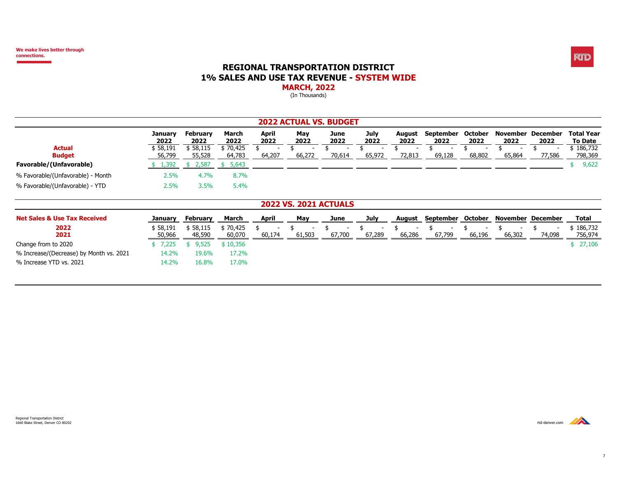#### **REGIONAL TRANSPORTATION DISTRICT 1% SALES AND USE TAX REVENUE - SYSTEM WIDE MARCH, 2022**

(In Thousands)

|                                         |                    |                         |                    |                                    |             | <b>2022 ACTUAL VS. BUDGET</b>            |              |                                          |                   |                                          |                                    |                                    |                              |
|-----------------------------------------|--------------------|-------------------------|--------------------|------------------------------------|-------------|------------------------------------------|--------------|------------------------------------------|-------------------|------------------------------------------|------------------------------------|------------------------------------|------------------------------|
|                                         | January<br>2022    | <b>February</b><br>2022 | March<br>2022      | April<br>2022                      | May<br>2022 | June<br>2022                             | July<br>2022 | August<br>2022                           | September<br>2022 | October<br>2022                          | November<br>2022                   | <b>December</b><br>2022            | <b>Total Year</b><br>To Date |
| <b>Actual</b><br><b>Budget</b>          | \$58,191<br>56,799 | \$58,115<br>55,528      | \$70,425<br>64,783 | 64,207                             | 66,272      | 70,614                                   | 65,972       | 72,813                                   | 69,128            | 68,802                                   | 65,864                             | 77,586                             | 186,732<br>798,369           |
| Favorable/(Unfavorable)                 | 1,392              | 2,587                   | 5,643<br>-SS-      |                                    |             |                                          |              |                                          |                   |                                          |                                    |                                    | 9,622                        |
| % Favorable/(Unfavorable) - Month       | 2.5%               | 4.7%                    | 8.7%               |                                    |             |                                          |              |                                          |                   |                                          |                                    |                                    |                              |
| % Favorable/(Unfavorable) - YTD         | 2.5%               | 3.5%                    | 5.4%               |                                    |             |                                          |              |                                          |                   |                                          |                                    |                                    |                              |
|                                         |                    |                         |                    |                                    |             | <b>2022 VS. 2021 ACTUALS</b>             |              |                                          |                   |                                          |                                    |                                    |                              |
| <b>Net Sales &amp; Use Tax Received</b> | January            | <b>February</b>         | March              | <b>April</b>                       | May         | June                                     | July         | August                                   | September October |                                          | <b>November December</b>           |                                    | Total                        |
| 2022<br>2021                            | \$58,191<br>50,966 | \$58,115<br>48,590      | \$70,425<br>60,070 | $\overline{\phantom{0}}$<br>60,174 | 61,503      | \$<br>$\overline{\phantom{a}}$<br>67,700 | \$<br>67,289 | \$<br>$\overline{\phantom{a}}$<br>66,286 | 67,799            | \$<br>$\overline{\phantom{a}}$<br>66,196 | $\overline{\phantom{a}}$<br>66,302 | $\overline{\phantom{a}}$<br>74,098 | \$186,732<br>756,974         |
| Change from to 2020                     | \$7,225            | 9,525                   | \$10,356           |                                    |             |                                          |              |                                          |                   |                                          |                                    |                                    | \$27,106                     |
| % Increase/(Decrease) by Month vs. 2021 | 14.2%              | 19.6%                   | 17.2%              |                                    |             |                                          |              |                                          |                   |                                          |                                    |                                    |                              |
| % Increase YTD vs. 2021                 | 14.2%              | 16.8%                   | 17.0%              |                                    |             |                                          |              |                                          |                   |                                          |                                    |                                    |                              |

**RTD** 

Regional Transportation District<br>1660 Blake Street, Denver CO 80202 1660 Blake Street, Denver CO 80202 rtd-denver.com

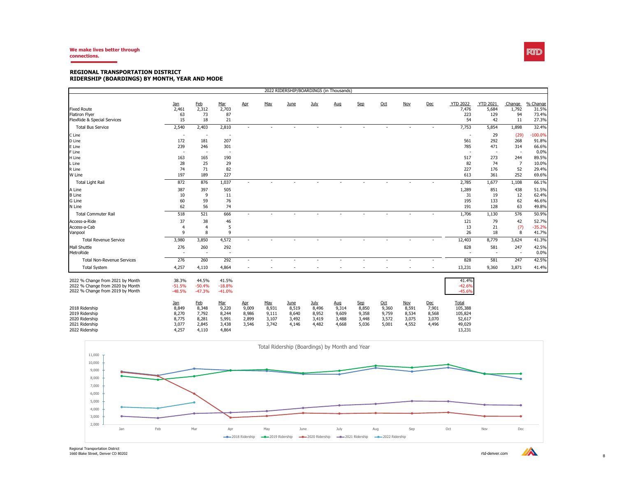#### **We make lives better through connections.**

#### **REGIONAL TRANSPORTATION DISTRICT RIDERSHIP (BOARDINGS) BY MONTH, YEAR AND MODE**

| 2022 RIDERSHIP/BOARDINGS (in Thousands) |            |                          |                          |                          |       |       |       |       |                          |       |            |                          |                          |                          |                          |           |
|-----------------------------------------|------------|--------------------------|--------------------------|--------------------------|-------|-------|-------|-------|--------------------------|-------|------------|--------------------------|--------------------------|--------------------------|--------------------------|-----------|
|                                         | <u>Jan</u> | <b>Feb</b>               | Mar                      | Apr                      | May   | June  | July  | Aug   | Sep                      | Oct   | <b>Nov</b> | Dec                      | <b>YTD 2022</b>          | <b>YTD 2021</b>          | Change                   | % Change  |
| <b>Fixed Route</b>                      | 2,461      | 2,312                    | 2,703                    |                          |       |       |       |       |                          |       |            |                          | 7,476                    | 5,684                    | 1,792                    | 31.5%     |
| <b>Flatiron Flver</b>                   | 63         | 73                       | 87                       |                          |       |       |       |       |                          |       |            |                          | 223                      | 129                      | 94                       | 73.4%     |
| FlexRide & Special Services             | 15         | 18                       | 21                       |                          |       |       |       |       |                          |       |            |                          | 54                       | 42                       | 11                       | 27.3%     |
| <b>Total Bus Service</b>                | 2,540      | 2,403                    | 2,810                    | $\overline{\phantom{a}}$ |       |       |       |       | $\overline{\phantom{a}}$ |       |            | $\overline{a}$           | 7,753                    | 5,854                    | 1,898                    | 32.4%     |
| C Line                                  | $\sim$     | $\overline{\phantom{a}}$ | $\overline{\phantom{a}}$ |                          |       |       |       |       |                          |       |            |                          | $\overline{\phantom{a}}$ | 29                       | (29)                     | $-100.0%$ |
| D Line                                  | 172        | 181                      | 207                      |                          |       |       |       |       |                          |       |            |                          | 561                      | 292                      | 268                      | 91.8%     |
| E Line                                  | 239        | 246                      | 301                      |                          |       |       |       |       |                          |       |            |                          | 785                      | 471                      | 314                      | 66.6%     |
| F Line                                  |            | $\overline{\phantom{a}}$ | $\overline{\phantom{a}}$ |                          |       |       |       |       |                          |       |            |                          | $\overline{\phantom{a}}$ | $\sim$                   | $\sim$                   | 0.0%      |
| H Line                                  | 163        | 165                      | 190                      |                          |       |       |       |       |                          |       |            |                          | 517                      | 273                      | 244                      | 89.5%     |
| L Line                                  | 28         | 25                       | 29                       |                          |       |       |       |       |                          |       |            |                          | 82                       | 74                       | $\overline{7}$           | 10.0%     |
| R Line                                  | 74         | 71                       | 82                       |                          |       |       |       |       |                          |       |            |                          | 227                      | 176                      | 52                       | 29.4%     |
| W Line                                  | 197        | 189                      | 227                      |                          |       |       |       |       |                          |       |            |                          | 613                      | 361                      | 252                      | 69.6%     |
| Total Light Rail                        | 872        | 876                      | 1,037                    |                          |       |       |       |       |                          |       |            |                          | 2,785                    | 1,677                    | 1,108                    | 66.1%     |
| A Line                                  | 387        | 397                      | 505                      |                          |       |       |       |       |                          |       |            |                          | 1,289                    | 851                      | 438                      | 51.5%     |
| <b>B</b> Line                           | 10         | 9                        | 11                       |                          |       |       |       |       |                          |       |            |                          | 31                       | 19                       | 12                       | 62.4%     |
| G Line                                  | 60         | 59                       | 76                       |                          |       |       |       |       |                          |       |            |                          | 195                      | 133                      | 62                       | 46.6%     |
| N Line                                  | 62         | 56                       | 74                       |                          |       |       |       |       |                          |       |            |                          | 191                      | 128                      | 63                       | 49.8%     |
| <b>Total Commuter Rail</b>              | 518        | 521                      | 666                      | $\sim$                   |       |       |       |       | $\overline{\phantom{a}}$ |       |            | $\overline{\phantom{a}}$ | 1,706                    | 1,130                    | 576                      | 50.9%     |
| Access-a-Ride                           | 37         | 38                       | 46                       |                          |       |       |       |       |                          |       |            |                          | 121                      | 79                       | 42                       | 52.7%     |
| Access-a-Cab                            | 4          | $\overline{4}$           | 5                        |                          |       |       |       |       |                          |       |            |                          | 13                       | 21                       | (7)                      | $-35.2%$  |
| Vanpool                                 | 9          | 8                        | 9                        |                          |       |       |       |       |                          |       |            |                          | 26                       | 18                       | 8                        | 41.7%     |
| <b>Total Revenue Service</b>            | 3,980      | 3,850                    | 4,572                    | $\overline{\phantom{a}}$ |       |       |       |       |                          |       |            |                          | 12,403                   | 8,779                    | 3,624                    | 41.3%     |
| Mall Shuttle                            | 276        | 260                      | 292                      |                          |       |       |       |       |                          |       |            |                          | 828                      | 581                      | 247                      | 42.5%     |
| MetroRide                               |            |                          | $\overline{\phantom{a}}$ |                          |       |       |       |       |                          |       |            |                          | $\overline{\phantom{a}}$ | $\overline{\phantom{a}}$ | $\overline{\phantom{a}}$ | 0.0%      |
| <b>Total Non-Revenue Services</b>       | 276        | 260                      | 292                      | $\overline{\phantom{a}}$ |       |       |       |       | $\overline{\phantom{a}}$ |       |            |                          | 828                      | 581                      | 247                      | 42.5%     |
| <b>Total System</b>                     | 4,257      | 4,110                    | 4,864                    |                          |       |       |       |       |                          |       |            |                          | 13,231                   | 9,360                    | 3,871                    | 41.4%     |
| 2022 % Change from 2021 by Month        | 38.3%      | 44.5%                    | 41.5%                    |                          |       |       |       |       |                          |       |            |                          | 41.4%                    |                          |                          |           |
| 2022 % Change from 2020 by Month        | $-51.5%$   | $-50.4%$                 | $-18.8%$                 |                          |       |       |       |       |                          |       |            |                          | $-42.6%$                 |                          |                          |           |
| 2022 % Change from 2019 by Month        | $-48.5%$   | $-47.3%$                 | $-41.0%$                 |                          |       |       |       |       |                          |       |            |                          | $-45.6%$                 |                          |                          |           |
|                                         |            |                          |                          |                          |       |       |       |       |                          |       |            |                          |                          |                          |                          |           |
|                                         | $Jan$      | <b>Feb</b>               | <u>Mar</u>               | Apr                      | May   | June  | July  | Aug   | Sep                      | $Oct$ | <b>Nov</b> | Dec                      | Total                    |                          |                          |           |
| 2018 Ridership                          | 8,849      | 8,348                    | 9,220                    | 9,009                    | 8,931 | 8,519 | 8,496 | 9,314 | 8,850                    | 9,360 | 8,591      | 7,901                    | 105,388                  |                          |                          |           |
| 2019 Ridership                          | 8,270      | 7,792                    | 8,244                    | 8,986                    | 9,111 | 8,640 | 8,952 | 9,609 | 9,358                    | 9,759 | 8,534      | 8,568                    | 105,824                  |                          |                          |           |
| 2020 Ridership                          | 8,775      | 8,281                    | 5,991                    | 2,899                    | 3,107 | 3,492 | 3,419 | 3,488 | 3,448                    | 3,572 | 3,075      | 3,070                    | 52,617                   |                          |                          |           |
| 2021 Ridership                          | 3,077      | 2,845                    | 3,438                    | 3,546                    | 3,742 | 4,146 | 4,482 | 4,668 | 5,036                    | 5,001 | 4,552      | 4,496                    | 49,029                   |                          |                          |           |
| 2022 Ridership                          | 4,257      | 4,110                    | 4,864                    |                          |       |       |       |       |                          |       |            |                          | 13,231                   |                          |                          |           |



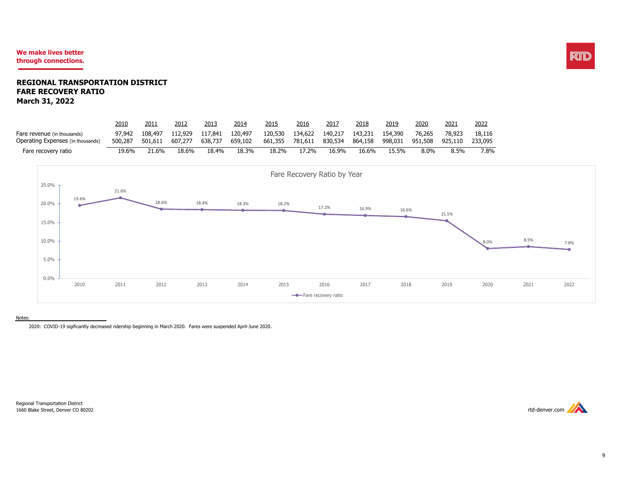#### **We make lives better through connections.**

#### **REGIONAL TRANSPORTATION DISTRICT FARE RECOVERY RATIO March 31, 2022**

|                                   | 2010    | 2011    | 2012    | 2013    | 2014    | 2015    | 2016    | 2017    | <u> 2018</u> | 2019    | 2020    | 2021    | 2022    |
|-----------------------------------|---------|---------|---------|---------|---------|---------|---------|---------|--------------|---------|---------|---------|---------|
| Fare revenue (in thousands)       | 97,942  | 108,497 | 112,929 | 117,841 | 120,497 | 120,530 | 134,622 | 140,217 | 143,231      | 154,390 | 76,265  | 78,923  | 18,116  |
| Operating Expenses (in thousands) | 500,287 | 501.611 | 607,277 | 638,737 | 659,102 | 661,355 | 781,611 | 830,534 | 864,158      | 998,031 | 951,508 | 925,110 | 233,095 |
| Fare recovery ratio               | 19.6%   | 21.6%   | 18.6%   | 18.4%   | 18.3%   | 18.2%   | I7.2%   | 16.9%   | 16.6%        | 15.5%   | $8.0\%$ | 8.5%    | 7.8%    |



Notes:

2020: COVID-19 sigificantly decreased ridership beginning in March 2020. Fares were suspended April-June 2020.

Regional Transportation District 1660 Blake Street, Denver CO 80202 rtd-denver.com



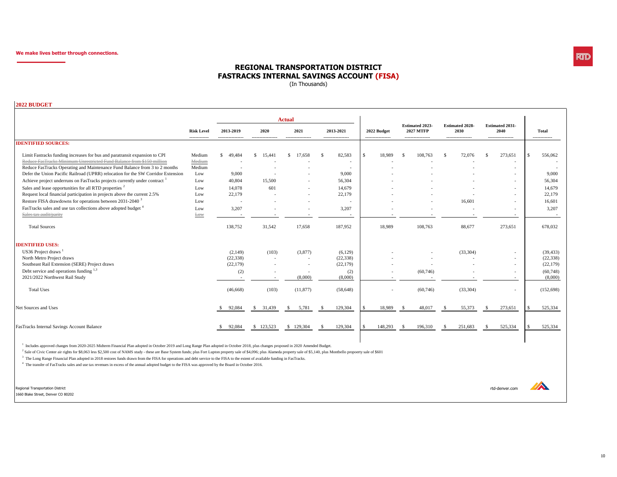## RTID

#### **REGIONAL TRANSPORTATION DISTRICT FASTRACKS INTERNAL SAVINGS ACCOUNT (FISA)**

(In Thousands)

**2022 BUDGET**

|                                                                                                                                                                                                                                   |                                    |                                          |                           | <b>Actual</b>                             |                                            |                                                     |                                                                 |                                                     |                                                                         |                               |
|-----------------------------------------------------------------------------------------------------------------------------------------------------------------------------------------------------------------------------------|------------------------------------|------------------------------------------|---------------------------|-------------------------------------------|--------------------------------------------|-----------------------------------------------------|-----------------------------------------------------------------|-----------------------------------------------------|-------------------------------------------------------------------------|-------------------------------|
|                                                                                                                                                                                                                                   | <b>Risk Level</b><br>------------- | 2013-2019<br>-----------------           | 2020<br>----------------- | 2021<br>-----------------                 | 2013-2021<br>-----------------             | 2022 Budget<br>-----------------                    | <b>Estimated 2023-</b><br><b>2027 MTFP</b><br>----------------- | <b>Estimated 2028-</b><br>2030<br>----------------- | <b>Estimated 2031-</b><br>2040<br>-----------------                     | <b>Total</b><br>------------- |
| <b>IDENTIFIED SOURCES:</b>                                                                                                                                                                                                        |                                    |                                          |                           |                                           |                                            |                                                     |                                                                 |                                                     |                                                                         |                               |
| Limit Fastracks funding increases for bus and paratransit expansion to CPI<br>Reduce FasTracks Minimum Unrestricted Fund Balance from \$150 million<br>Reduce FasTracks Operating and Maintenance Fund Balance from 3 to 2 months | Medium<br>Medium<br>Medium         | 49,484<br>S.<br>$\overline{\phantom{a}}$ | $\mathbb{S}$<br>15,441    | \$.<br>17,658<br>$\overline{\phantom{a}}$ | 82,583<br>- \$<br>$\overline{\phantom{a}}$ | <sup>\$</sup><br>18,989<br>$\overline{\phantom{a}}$ | 108,763<br>-S                                                   | 72,076<br>-S<br>$\overline{\phantom{a}}$            | 273,651<br>- \$<br>$\overline{\phantom{a}}$<br>$\overline{\phantom{a}}$ | $\mathcal{S}$<br>556,062      |
| Defer the Union Pacific Railroad (UPRR) relocation for the SW Corridor Extension                                                                                                                                                  | Low                                | 9,000                                    | $\overline{\phantom{a}}$  |                                           | 9,000                                      |                                                     |                                                                 |                                                     | $\overline{\phantom{a}}$                                                | 9,000                         |
| Achieve project underruns on FasTracks projects currently under contract                                                                                                                                                          | Low                                | 40,804                                   | 15,500                    |                                           | 56,304                                     |                                                     |                                                                 |                                                     | $\sim$                                                                  | 56,304                        |
| Sales and lease opportunities for all RTD properties <sup>2</sup>                                                                                                                                                                 | Low                                | 14,078                                   | 601                       |                                           | 14.679                                     |                                                     |                                                                 |                                                     | $\sim$                                                                  | 14,679                        |
| Request local financial participation in projects above the current 2.5%                                                                                                                                                          | Low                                | 22,179                                   | $\overline{\phantom{a}}$  | $\sim$                                    | 22,179                                     |                                                     |                                                                 |                                                     | $\sim$                                                                  | 22,179                        |
| Restore FISA drawdowns for operations between 2031-2040 <sup>3</sup>                                                                                                                                                              | Low                                |                                          |                           | $\overline{\phantom{a}}$                  |                                            |                                                     |                                                                 | 16,601                                              | $\sim$                                                                  | 16,601                        |
| FasTracks sales and use tax collections above adopted budget <sup>4</sup>                                                                                                                                                         | Low                                | 3,207                                    |                           |                                           | 3,207                                      |                                                     |                                                                 |                                                     | $\overline{\phantom{a}}$                                                | 3,207                         |
| Sales tax audit/parity                                                                                                                                                                                                            | Low                                |                                          |                           |                                           | $\overline{\phantom{a}}$                   |                                                     |                                                                 |                                                     | $\sim$                                                                  | $\overline{\phantom{a}}$      |
| <b>Total Sources</b>                                                                                                                                                                                                              |                                    | 138,752                                  | 31,542                    | 17,658                                    | 187,952                                    | 18,989                                              | 108,763                                                         | 88,677                                              | 273,651                                                                 | 678,032                       |
| <b>IDENTIFIED USES:</b>                                                                                                                                                                                                           |                                    |                                          |                           |                                           |                                            |                                                     |                                                                 |                                                     |                                                                         |                               |
| US36 Project draws                                                                                                                                                                                                                |                                    | (2,149)                                  | (103)                     | (3,877)                                   | (6,129)                                    |                                                     |                                                                 | (33, 304)                                           | $\overline{\phantom{a}}$                                                | (39, 433)                     |
| North Metro Project draws                                                                                                                                                                                                         |                                    | (22, 338)                                |                           |                                           | (22, 338)                                  |                                                     |                                                                 |                                                     | $\overline{\phantom{a}}$                                                | (22, 338)                     |
| Southeast Rail Extension (SERE) Project draws                                                                                                                                                                                     |                                    | (22, 179)                                |                           |                                           | (22, 179)                                  |                                                     |                                                                 |                                                     | $\sim$                                                                  | (22, 179)                     |
| Debt service and operations funding 1,3                                                                                                                                                                                           |                                    | (2)                                      |                           |                                           | (2)                                        | ٠                                                   | (60, 746)                                                       |                                                     | $\sim$                                                                  | (60, 748)                     |
| 2021/2022 Northwest Rail Study                                                                                                                                                                                                    |                                    |                                          |                           | (8,000)                                   | (8,000)                                    |                                                     |                                                                 |                                                     | $\overline{\phantom{a}}$                                                | (8,000)                       |
| <b>Total Uses</b>                                                                                                                                                                                                                 |                                    | (46, 668)                                | (103)                     | (11, 877)                                 | (58, 648)                                  |                                                     | (60, 746)                                                       | (33, 304)                                           | $\sim$                                                                  | (152, 698)                    |
| Net Sources and Uses                                                                                                                                                                                                              |                                    | 92,084<br>-S                             | 31,439<br>S.              | 5,781<br>-S                               | 129,304                                    | 18,989<br>£.                                        | 48,017<br>-8                                                    | 55,373<br>-S                                        | 273,651                                                                 | 525,334                       |
| FasTracks Internal Savings Account Balance                                                                                                                                                                                        |                                    | 92,084<br>-S                             | \$123,523                 | \$129,304                                 | 129,304<br>-S                              | 148,293<br>\$                                       | 196,310<br>-S                                                   | 251,683<br>-S                                       | 525,334<br>-S                                                           | 525,334<br>£.                 |

<sup>1</sup> Includes approved changes from 2020-2025 Midterm Financial Plan adopted in October 2019 and Long Range Plan adopted in October 2018, plus changes proposed in 2020 Amended Budget.

<sup>2</sup> Sale of Civic Center air rights for \$8,063 less \$2,500 cost of NAMS study - these are Base System funds; plus Fort Lupton property sale of \$4,096; plus Alameda property sale of \$5,140, plus Montbello propoerty sale of

<sup>3</sup> The Long Range Financial Plan adopted in 2018 restores funds drawn from the FISA for operations and debt service to the FISA to the extent of available funding in FasTracks.

<sup>4</sup> The transfer of FasTracks sales and use tax revenues in excess of the annual adopted budget to the FISA was approved by the Board in October 2016.

Regional Transportation District rtd-denver.com 1660 Blake Street, Denver CO 80202